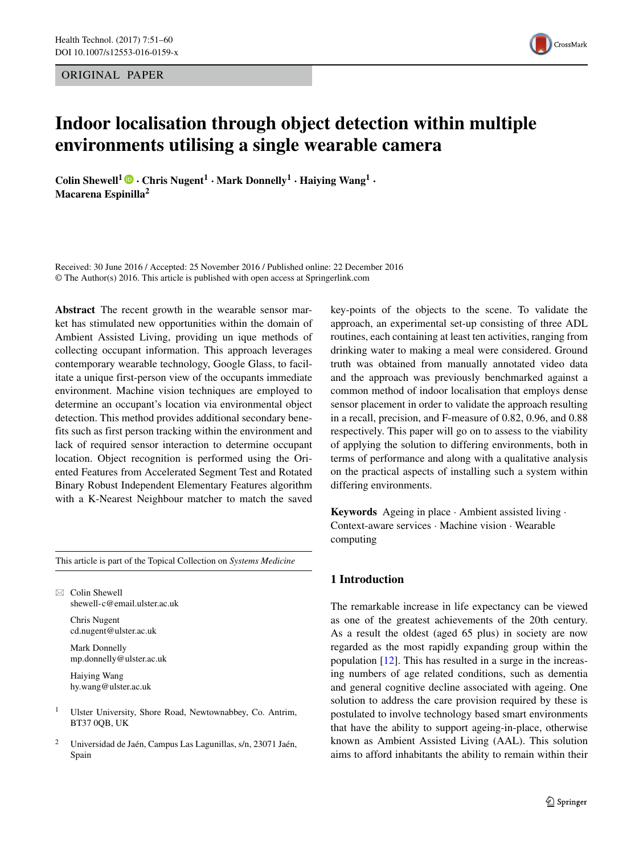ORIGINAL PAPER



# **Indoor localisation through object detection within multiple environments utilising a single wearable camera**

**Colin Shewell<sup>1</sup>**  $\bullet$  **<b>·** Chris Nugent<sup>1</sup> **·** Mark Donnelly<sup>1</sup> **·** Haiying Wang<sup>1</sup> **· Macarena Espinilla2**

Received: 30 June 2016 / Accepted: 25 November 2016 / Published online: 22 December 2016 © The Author(s) 2016. This article is published with open access at Springerlink.com

**Abstract** The recent growth in the wearable sensor market has stimulated new opportunities within the domain of Ambient Assisted Living, providing un ique methods of collecting occupant information. This approach leverages contemporary wearable technology, Google Glass, to facilitate a unique first-person view of the occupants immediate environment. Machine vision techniques are employed to determine an occupant's location via environmental object detection. This method provides additional secondary benefits such as first person tracking within the environment and lack of required sensor interaction to determine occupant location. Object recognition is performed using the Oriented Features from Accelerated Segment Test and Rotated Binary Robust Independent Elementary Features algorithm with a K-Nearest Neighbour matcher to match the saved

This article is part of the Topical Collection on *Systems Medicine*

 $\boxtimes$  Colin Shewell [shewell-c@email.ulster.ac.uk](mailto:shewell-c@email.ulster.ac.uk)

> Chris Nugent [cd.nugent@ulster.ac.uk](mailto:cd.nugent@ulster.ac.uk)

Mark Donnelly [mp.donnelly@ulster.ac.uk](mailto:mp.donnelly@ulster.ac.uk)

Haiying Wang [hy.wang@ulster.ac.uk](mailto:hy.wang@ulster.ac.uk)

- <sup>1</sup> Ulster University, Shore Road, Newtownabbey, Co. Antrim, BT37 0QB, UK
- <sup>2</sup> Universidad de Jaén, Campus Las Lagunillas, s/n, 23071 Jaén, Spain

key-points of the objects to the scene. To validate the approach, an experimental set-up consisting of three ADL routines, each containing at least ten activities, ranging from drinking water to making a meal were considered. Ground truth was obtained from manually annotated video data and the approach was previously benchmarked against a common method of indoor localisation that employs dense sensor placement in order to validate the approach resulting in a recall, precision, and F-measure of 0.82, 0.96, and 0.88 respectively. This paper will go on to assess to the viability of applying the solution to differing environments, both in terms of performance and along with a qualitative analysis on the practical aspects of installing such a system within differing environments.

**Keywords** Ageing in place · Ambient assisted living · Context-aware services · Machine vision · Wearable computing

#### **1 Introduction**

The remarkable increase in life expectancy can be viewed as one of the greatest achievements of the 20th century. As a result the oldest (aged 65 plus) in society are now regarded as the most rapidly expanding group within the population [\[12\]](#page-9-0). This has resulted in a surge in the increasing numbers of age related conditions, such as dementia and general cognitive decline associated with ageing. One solution to address the care provision required by these is postulated to involve technology based smart environments that have the ability to support ageing-in-place, otherwise known as Ambient Assisted Living (AAL). This solution aims to afford inhabitants the ability to remain within their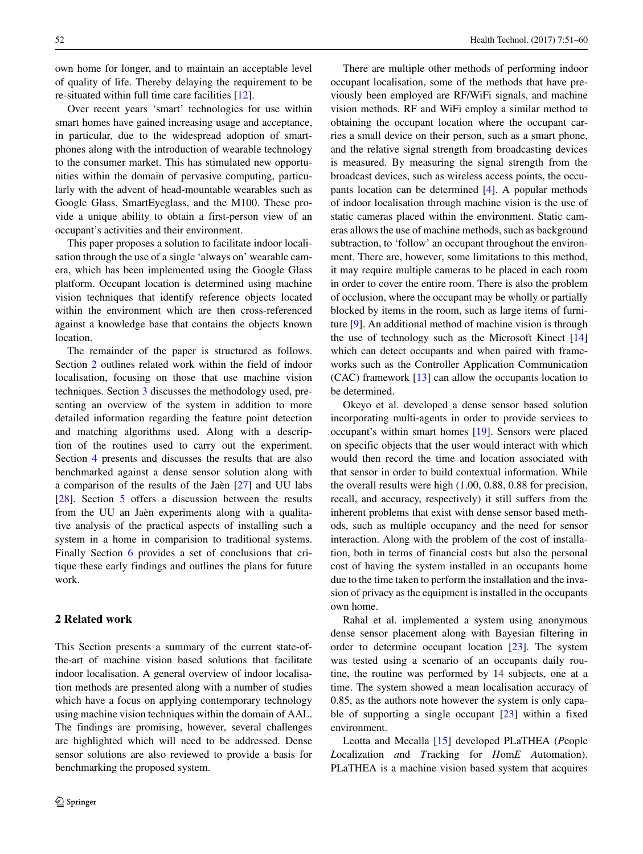own home for longer, and to maintain an acceptable level of quality of life. Thereby delaying the requirement to be re-situated within full time care facilities [\[12\]](#page-9-0).

Over recent years 'smart' technologies for use within smart homes have gained increasing usage and acceptance, in particular, due to the widespread adoption of smartphones along with the introduction of wearable technology to the consumer market. This has stimulated new opportunities within the domain of pervasive computing, particularly with the advent of head-mountable wearables such as Google Glass, SmartEyeglass, and the M100. These provide a unique ability to obtain a first-person view of an occupant's activities and their environment.

This paper proposes a solution to facilitate indoor localisation through the use of a single 'always on' wearable camera, which has been implemented using the Google Glass platform. Occupant location is determined using machine vision techniques that identify reference objects located within the environment which are then cross-referenced against a knowledge base that contains the objects known location.

The remainder of the paper is structured as follows. Section [2](#page-1-0) outlines related work within the field of indoor localisation, focusing on those that use machine vision techniques. Section [3](#page-2-0) discusses the methodology used, presenting an overview of the system in addition to more detailed information regarding the feature point detection and matching algorithms used. Along with a description of the routines used to carry out the experiment. Section [4](#page-6-0) presents and discusses the results that are also benchmarked against a dense sensor solution along with a comparison of the results of the Jaen  $[27]$  $[27]$  and UU labs [\[28\]](#page-9-2). Section [5](#page-6-1) offers a discussion between the results from the UU an Jaèn experiments along with a qualitative analysis of the practical aspects of installing such a system in a home in comparision to traditional systems. Finally Section [6](#page-8-0) provides a set of conclusions that critique these early findings and outlines the plans for future work.

## <span id="page-1-0"></span>**2 Related work**

This Section presents a summary of the current state-ofthe-art of machine vision based solutions that facilitate indoor localisation. A general overview of indoor localisation methods are presented along with a number of studies which have a focus on applying contemporary technology using machine vision techniques within the domain of AAL. The findings are promising, however, several challenges are highlighted which will need to be addressed. Dense sensor solutions are also reviewed to provide a basis for benchmarking the proposed system.

There are multiple other methods of performing indoor occupant localisation, some of the methods that have previously been employed are RF/WiFi signals, and machine vision methods. RF and WiFi employ a similar method to obtaining the occupant location where the occupant carries a small device on their person, such as a smart phone, and the relative signal strength from broadcasting devices is measured. By measuring the signal strength from the broadcast devices, such as wireless access points, the occupants location can be determined [\[4\]](#page-9-3). A popular methods of indoor localisation through machine vision is the use of static cameras placed within the environment. Static cameras allows the use of machine methods, such as background subtraction, to 'follow' an occupant throughout the environment. There are, however, some limitations to this method, it may require multiple cameras to be placed in each room in order to cover the entire room. There is also the problem of occlusion, where the occupant may be wholly or partially blocked by items in the room, such as large items of furniture [\[9\]](#page-9-4). An additional method of machine vision is through the use of technology such as the Microsoft Kinect [\[14\]](#page-9-5) which can detect occupants and when paired with frameworks such as the Controller Application Communication (CAC) framework [\[13\]](#page-9-6) can allow the occupants location to be determined.

Okeyo et al. developed a dense sensor based solution incorporating multi-agents in order to provide services to occupant's within smart homes [\[19\]](#page-9-7). Sensors were placed on specific objects that the user would interact with which would then record the time and location associated with that sensor in order to build contextual information. While the overall results were high (1.00, 0.88, 0.88 for precision, recall, and accuracy, respectively) it still suffers from the inherent problems that exist with dense sensor based methods, such as multiple occupancy and the need for sensor interaction. Along with the problem of the cost of installation, both in terms of financial costs but also the personal cost of having the system installed in an occupants home due to the time taken to perform the installation and the invasion of privacy as the equipment is installed in the occupants own home.

Rahal et al. implemented a system using anonymous dense sensor placement along with Bayesian filtering in order to determine occupant location [\[23\]](#page-9-8). The system was tested using a scenario of an occupants daily routine, the routine was performed by 14 subjects, one at a time. The system showed a mean localisation accuracy of 0.85, as the authors note however the system is only capable of supporting a single occupant [\[23\]](#page-9-8) within a fixed environment.

Leotta and Mecalla [\[15\]](#page-9-9) developed PLaTHEA (*P*eople *L*ocalization *a*nd *T*racking for *H*om*E A*utomation). PLaTHEA is a machine vision based system that acquires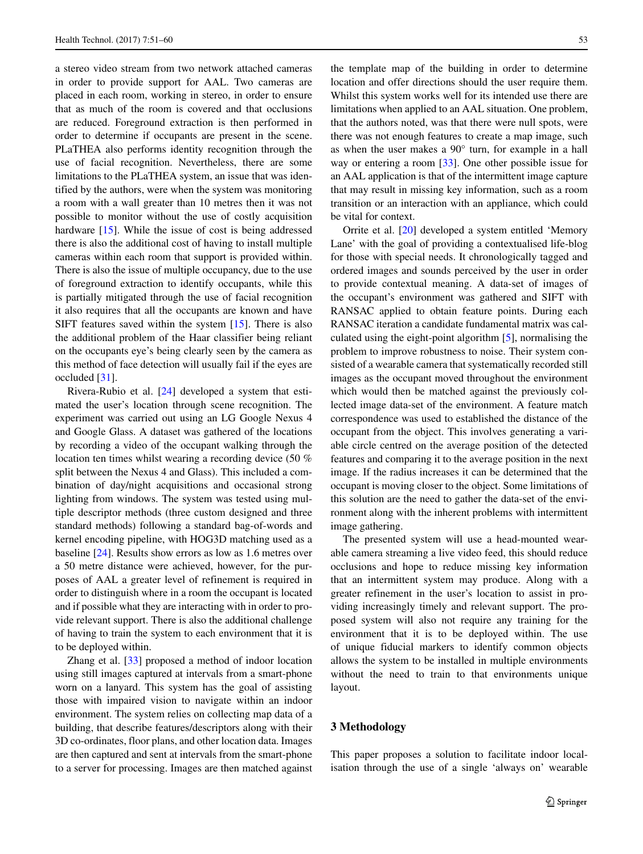a stereo video stream from two network attached cameras in order to provide support for AAL. Two cameras are placed in each room, working in stereo, in order to ensure that as much of the room is covered and that occlusions are reduced. Foreground extraction is then performed in order to determine if occupants are present in the scene. PLaTHEA also performs identity recognition through the use of facial recognition. Nevertheless, there are some limitations to the PLaTHEA system, an issue that was identified by the authors, were when the system was monitoring a room with a wall greater than 10 metres then it was not possible to monitor without the use of costly acquisition hardware [\[15\]](#page-9-9). While the issue of cost is being addressed there is also the additional cost of having to install multiple cameras within each room that support is provided within. There is also the issue of multiple occupancy, due to the use of foreground extraction to identify occupants, while this is partially mitigated through the use of facial recognition it also requires that all the occupants are known and have SIFT features saved within the system [\[15\]](#page-9-9). There is also the additional problem of the Haar classifier being reliant on the occupants eye's being clearly seen by the camera as this method of face detection will usually fail if the eyes are occluded [\[31\]](#page-9-10).

Rivera-Rubio et al. [\[24\]](#page-9-11) developed a system that estimated the user's location through scene recognition. The experiment was carried out using an LG Google Nexus 4 and Google Glass. A dataset was gathered of the locations by recording a video of the occupant walking through the location ten times whilst wearing a recording device (50 % split between the Nexus 4 and Glass). This included a combination of day/night acquisitions and occasional strong lighting from windows. The system was tested using multiple descriptor methods (three custom designed and three standard methods) following a standard bag-of-words and kernel encoding pipeline, with HOG3D matching used as a baseline [\[24\]](#page-9-11). Results show errors as low as 1.6 metres over a 50 metre distance were achieved, however, for the purposes of AAL a greater level of refinement is required in order to distinguish where in a room the occupant is located and if possible what they are interacting with in order to provide relevant support. There is also the additional challenge of having to train the system to each environment that it is to be deployed within.

Zhang et al. [\[33\]](#page-9-12) proposed a method of indoor location using still images captured at intervals from a smart-phone worn on a lanyard. This system has the goal of assisting those with impaired vision to navigate within an indoor environment. The system relies on collecting map data of a building, that describe features/descriptors along with their 3D co-ordinates, floor plans, and other location data. Images are then captured and sent at intervals from the smart-phone to a server for processing. Images are then matched against the template map of the building in order to determine location and offer directions should the user require them. Whilst this system works well for its intended use there are limitations when applied to an AAL situation. One problem, that the authors noted, was that there were null spots, were there was not enough features to create a map image, such as when the user makes a 90° turn, for example in a hall way or entering a room [\[33\]](#page-9-12). One other possible issue for an AAL application is that of the intermittent image capture that may result in missing key information, such as a room transition or an interaction with an appliance, which could be vital for context.

Orrite et al. [\[20\]](#page-9-13) developed a system entitled 'Memory Lane' with the goal of providing a contextualised life-blog for those with special needs. It chronologically tagged and ordered images and sounds perceived by the user in order to provide contextual meaning. A data-set of images of the occupant's environment was gathered and SIFT with RANSAC applied to obtain feature points. During each RANSAC iteration a candidate fundamental matrix was calculated using the eight-point algorithm [\[5\]](#page-9-14), normalising the problem to improve robustness to noise. Their system consisted of a wearable camera that systematically recorded still images as the occupant moved throughout the environment which would then be matched against the previously collected image data-set of the environment. A feature match correspondence was used to established the distance of the occupant from the object. This involves generating a variable circle centred on the average position of the detected features and comparing it to the average position in the next image. If the radius increases it can be determined that the occupant is moving closer to the object. Some limitations of this solution are the need to gather the data-set of the environment along with the inherent problems with intermittent image gathering.

The presented system will use a head-mounted wearable camera streaming a live video feed, this should reduce occlusions and hope to reduce missing key information that an intermittent system may produce. Along with a greater refinement in the user's location to assist in providing increasingly timely and relevant support. The proposed system will also not require any training for the environment that it is to be deployed within. The use of unique fiducial markers to identify common objects allows the system to be installed in multiple environments without the need to train to that environments unique layout.

#### <span id="page-2-0"></span>**3 Methodology**

This paper proposes a solution to facilitate indoor localisation through the use of a single 'always on' wearable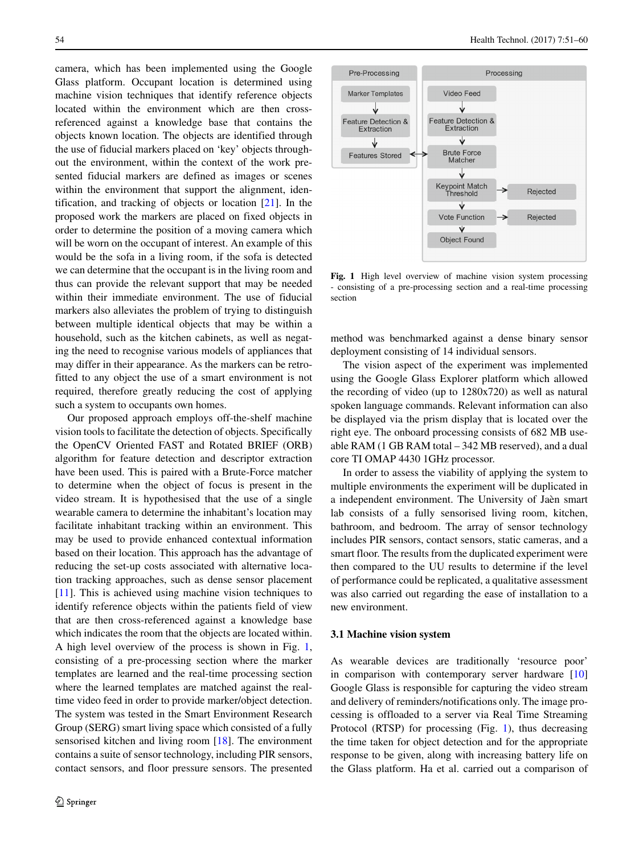camera, which has been implemented using the Google Glass platform. Occupant location is determined using machine vision techniques that identify reference objects located within the environment which are then crossreferenced against a knowledge base that contains the objects known location. The objects are identified through the use of fiducial markers placed on 'key' objects throughout the environment, within the context of the work presented fiducial markers are defined as images or scenes within the environment that support the alignment, identification, and tracking of objects or location [\[21\]](#page-9-15). In the proposed work the markers are placed on fixed objects in order to determine the position of a moving camera which will be worn on the occupant of interest. An example of this would be the sofa in a living room, if the sofa is detected we can determine that the occupant is in the living room and thus can provide the relevant support that may be needed within their immediate environment. The use of fiducial markers also alleviates the problem of trying to distinguish between multiple identical objects that may be within a household, such as the kitchen cabinets, as well as negating the need to recognise various models of appliances that may differ in their appearance. As the markers can be retrofitted to any object the use of a smart environment is not required, therefore greatly reducing the cost of applying such a system to occupants own homes.

Our proposed approach employs off-the-shelf machine vision tools to facilitate the detection of objects. Specifically the OpenCV Oriented FAST and Rotated BRIEF (ORB) algorithm for feature detection and descriptor extraction have been used. This is paired with a Brute-Force matcher to determine when the object of focus is present in the video stream. It is hypothesised that the use of a single wearable camera to determine the inhabitant's location may facilitate inhabitant tracking within an environment. This may be used to provide enhanced contextual information based on their location. This approach has the advantage of reducing the set-up costs associated with alternative location tracking approaches, such as dense sensor placement [\[11\]](#page-9-16). This is achieved using machine vision techniques to identify reference objects within the patients field of view that are then cross-referenced against a knowledge base which indicates the room that the objects are located within. A high level overview of the process is shown in Fig. [1,](#page-3-0) consisting of a pre-processing section where the marker templates are learned and the real-time processing section where the learned templates are matched against the realtime video feed in order to provide marker/object detection. The system was tested in the Smart Environment Research Group (SERG) smart living space which consisted of a fully sensorised kitchen and living room [\[18\]](#page-9-17). The environment contains a suite of sensor technology, including PIR sensors, contact sensors, and floor pressure sensors. The presented

<span id="page-3-0"></span>

**Fig. 1** High level overview of machine vision system processing - consisting of a pre-processing section and a real-time processing section

method was benchmarked against a dense binary sensor deployment consisting of 14 individual sensors.

The vision aspect of the experiment was implemented using the Google Glass Explorer platform which allowed the recording of video (up to 1280x720) as well as natural spoken language commands. Relevant information can also be displayed via the prism display that is located over the right eye. The onboard processing consists of 682 MB useable RAM (1 GB RAM total – 342 MB reserved), and a dual core TI OMAP 4430 1GHz processor.

In order to assess the viability of applying the system to multiple environments the experiment will be duplicated in a independent environment. The University of Jaèn smart lab consists of a fully sensorised living room, kitchen, bathroom, and bedroom. The array of sensor technology includes PIR sensors, contact sensors, static cameras, and a smart floor. The results from the duplicated experiment were then compared to the UU results to determine if the level of performance could be replicated, a qualitative assessment was also carried out regarding the ease of installation to a new environment.

#### **3.1 Machine vision system**

As wearable devices are traditionally 'resource poor' in comparison with contemporary server hardware [\[10\]](#page-9-18) Google Glass is responsible for capturing the video stream and delivery of reminders/notifications only. The image processing is offloaded to a server via Real Time Streaming Protocol (RTSP) for processing (Fig. [1\)](#page-3-0), thus decreasing the time taken for object detection and for the appropriate response to be given, along with increasing battery life on the Glass platform. Ha et al. carried out a comparison of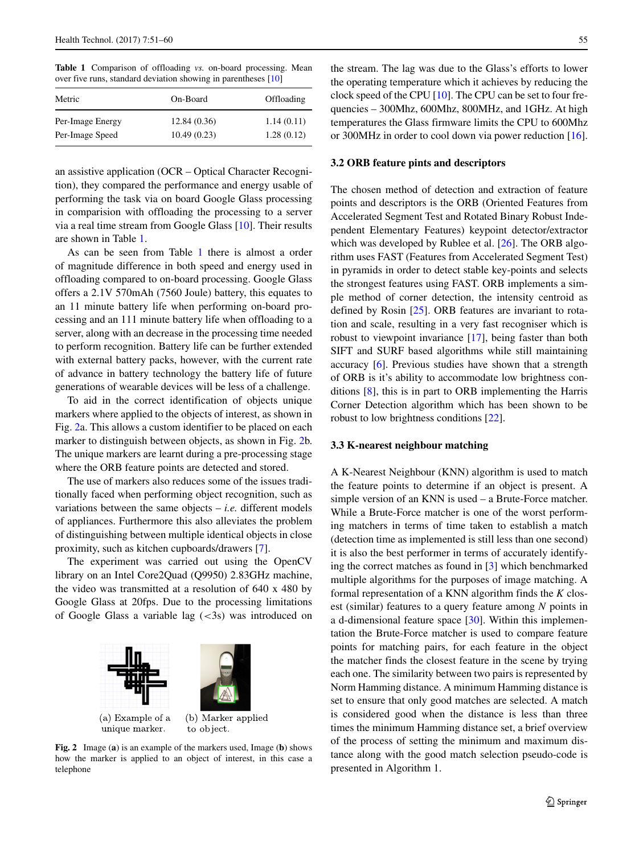<span id="page-4-0"></span>**Table 1** Comparison of offloading *vs.* on-board processing. Mean over five runs, standard deviation showing in parentheses [\[10\]](#page-9-18)

| On-Board    | Offloading |
|-------------|------------|
| 12.84(0.36) | 1.14(0.11) |
| 10.49(0.23) | 1.28(0.12) |
|             |            |

an assistive application (OCR – Optical Character Recognition), they compared the performance and energy usable of performing the task via on board Google Glass processing in comparision with offloading the processing to a server via a real time stream from Google Glass [\[10\]](#page-9-18). Their results are shown in Table [1.](#page-4-0)

As can be seen from Table [1](#page-4-0) there is almost a order of magnitude difference in both speed and energy used in offloading compared to on-board processing. Google Glass offers a 2.1V 570mAh (7560 Joule) battery, this equates to an 11 minute battery life when performing on-board processing and an 111 minute battery life when offloading to a server, along with an decrease in the processing time needed to perform recognition. Battery life can be further extended with external battery packs, however, with the current rate of advance in battery technology the battery life of future generations of wearable devices will be less of a challenge.

To aid in the correct identification of objects unique markers where applied to the objects of interest, as shown in Fig. [2a](#page-4-1). This allows a custom identifier to be placed on each marker to distinguish between objects, as shown in Fig. [2b](#page-4-1). The unique markers are learnt during a pre-processing stage where the ORB feature points are detected and stored.

The use of markers also reduces some of the issues traditionally faced when performing object recognition, such as variations between the same objects  $- i.e.$  different models of appliances. Furthermore this also alleviates the problem of distinguishing between multiple identical objects in close proximity, such as kitchen cupboards/drawers [\[7\]](#page-9-19).

The experiment was carried out using the OpenCV library on an Intel Core2Quad (Q9950) 2.83GHz machine, the video was transmitted at a resolution of 640 x 480 by Google Glass at 20fps. Due to the processing limitations of Google Glass a variable lag (*<*3s) was introduced on

<span id="page-4-1"></span>

**Fig. 2** Image (**a**) is an example of the markers used, Image (**b**) shows how the marker is applied to an object of interest, in this case a telephone

the stream. The lag was due to the Glass's efforts to lower the operating temperature which it achieves by reducing the clock speed of the CPU [\[10\]](#page-9-18). The CPU can be set to four frequencies – 300Mhz, 600Mhz, 800MHz, and 1GHz. At high temperatures the Glass firmware limits the CPU to 600Mhz or 300MHz in order to cool down via power reduction [\[16\]](#page-9-20).

#### **3.2 ORB feature pints and descriptors**

The chosen method of detection and extraction of feature points and descriptors is the ORB (Oriented Features from Accelerated Segment Test and Rotated Binary Robust Independent Elementary Features) keypoint detector/extractor which was developed by Rublee et al. [\[26\]](#page-9-21). The ORB algorithm uses FAST (Features from Accelerated Segment Test) in pyramids in order to detect stable key-points and selects the strongest features using FAST. ORB implements a simple method of corner detection, the intensity centroid as defined by Rosin [\[25\]](#page-9-22). ORB features are invariant to rotation and scale, resulting in a very fast recogniser which is robust to viewpoint invariance [\[17\]](#page-9-23), being faster than both SIFT and SURF based algorithms while still maintaining accuracy [\[6\]](#page-9-24). Previous studies have shown that a strength of ORB is it's ability to accommodate low brightness conditions [\[8\]](#page-9-25), this is in part to ORB implementing the Harris Corner Detection algorithm which has been shown to be robust to low brightness conditions [\[22\]](#page-9-26).

#### **3.3 K-nearest neighbour matching**

A K-Nearest Neighbour (KNN) algorithm is used to match the feature points to determine if an object is present. A simple version of an KNN is used – a Brute-Force matcher. While a Brute-Force matcher is one of the worst performing matchers in terms of time taken to establish a match (detection time as implemented is still less than one second) it is also the best performer in terms of accurately identifying the correct matches as found in [\[3\]](#page-8-1) which benchmarked multiple algorithms for the purposes of image matching. A formal representation of a KNN algorithm finds the *K* closest (similar) features to a query feature among *N* points in a d-dimensional feature space [\[30\]](#page-9-27). Within this implementation the Brute-Force matcher is used to compare feature points for matching pairs, for each feature in the object the matcher finds the closest feature in the scene by trying each one. The similarity between two pairs is represented by Norm Hamming distance. A minimum Hamming distance is set to ensure that only good matches are selected. A match is considered good when the distance is less than three times the minimum Hamming distance set, a brief overview of the process of setting the minimum and maximum distance along with the good match selection pseudo-code is presented in Algorithm 1.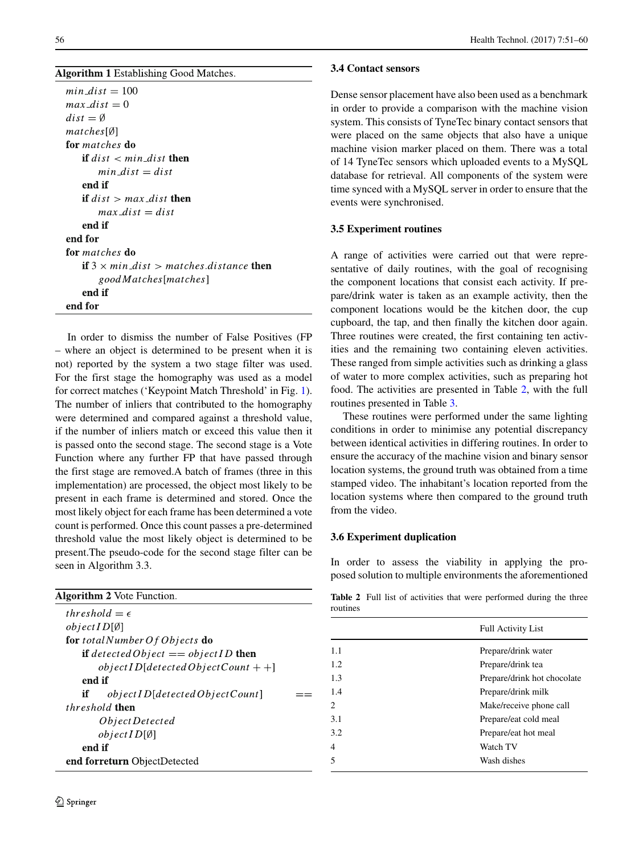s.  $min\_dist = 100$  $max\_dist = 0$  $dist = \emptyset$  $matches[Ø]$ for *matches* do if  $dist < min\_dist$  then  $min$  dist = dist end if if  $dist > max\_dist$  then  $max\_dist = dist$ end if end for for matches do if  $3 \times min\_dist > matches$ .distance then goodMatches[matches] end if end for

In order to dismiss the number of False Positives (FP – where an object is determined to be present when it is not) reported by the system a two stage filter was used. For the first stage the homography was used as a model for correct matches ('Keypoint Match Threshold' in Fig. [1\)](#page-3-0). The number of inliers that contributed to the homography were determined and compared against a threshold value, if the number of inliers match or exceed this value then it is passed onto the second stage. The second stage is a Vote Function where any further FP that have passed through the first stage are removed.A batch of frames (three in this implementation) are processed, the object most likely to be present in each frame is determined and stored. Once the most likely object for each frame has been determined a vote count is performed. Once this count passes a pre-determined threshold value the most likely object is determined to be present.The pseudo-code for the second stage filter can be seen in Algorithm 3.3.

| <b>Algorithm 2</b> Vote Function.                    |  |
|------------------------------------------------------|--|
| threshold $=\epsilon$                                |  |
| $objectID[\emptyset]$                                |  |
| for total Number Of Objects do                       |  |
| <b>if</b> detected Object $==$ object ID <b>then</b> |  |
| $objectID[detectedObjectCount + +]$                  |  |
| end if                                               |  |
| objectID[detectedObjectCount]<br>if                  |  |
| <i>threshold</i> then                                |  |
| <i>Object Detected</i>                               |  |
| $objectID[\emptyset]$                                |  |
| end if                                               |  |
| end forreturn ObjectDetected                         |  |

### **3.4 Contact sensors**

Dense sensor placement have also been used as a benchmark in order to provide a comparison with the machine vision system. This consists of TyneTec binary contact sensors that were placed on the same objects that also have a unique machine vision marker placed on them. There was a total of 14 TyneTec sensors which uploaded events to a MySQL database for retrieval. All components of the system were time synced with a MySQL server in order to ensure that the events were synchronised.

## **3.5 Experiment routines**

A range of activities were carried out that were representative of daily routines, with the goal of recognising the component locations that consist each activity. If prepare/drink water is taken as an example activity, then the component locations would be the kitchen door, the cup cupboard, the tap, and then finally the kitchen door again. Three routines were created, the first containing ten activities and the remaining two containing eleven activities. These ranged from simple activities such as drinking a glass of water to more complex activities, such as preparing hot food. The activities are presented in Table [2,](#page-5-0) with the full routines presented in Table [3.](#page-6-2)

These routines were performed under the same lighting conditions in order to minimise any potential discrepancy between identical activities in differing routines. In order to ensure the accuracy of the machine vision and binary sensor location systems, the ground truth was obtained from a time stamped video. The inhabitant's location reported from the location systems where then compared to the ground truth from the video.

## **3.6 Experiment duplication**

In order to assess the viability in applying the proposed solution to multiple environments the aforementioned

**Table 2** Full list of activities that were performed during the three routines

<span id="page-5-0"></span>

|     | <b>Full Activity List</b>   |
|-----|-----------------------------|
| 1.1 | Prepare/drink water         |
| 1.2 | Prepare/drink tea           |
| 1.3 | Prepare/drink hot chocolate |
| 1.4 | Prepare/drink milk          |
| 2   | Make/receive phone call     |
| 3.1 | Prepare/eat cold meal       |
| 3.2 | Prepare/eat hot meal        |
| 4   | Watch TV                    |
| 5   | Wash dishes                 |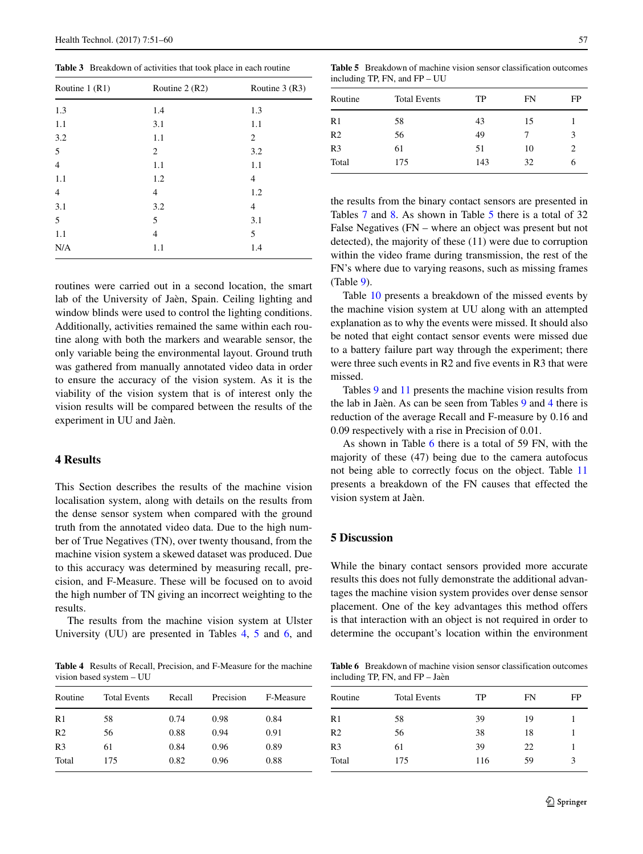<span id="page-6-2"></span>**Table 3** Breakdown of activities that took place in each routine

| Routine $1(R1)$ | Routine $2(R2)$ | Routine $3(R3)$ |
|-----------------|-----------------|-----------------|
| 1.3             | 1.4             | 1.3             |
| 1.1             | 3.1             | 1.1             |
| 3.2             | 1.1             | 2               |
| 5               | 2               | 3.2             |
| $\overline{4}$  | 1.1             | 1.1             |
| 1.1             | 1.2             | 4               |
| 4               | $\overline{4}$  | 1.2             |
| 3.1             | 3.2             | 4               |
| 5               | 5               | 3.1             |
| 1.1             | $\overline{4}$  | 5               |
| N/A             | 1.1             | 1.4             |

routines were carried out in a second location, the smart lab of the University of Jaèn, Spain. Ceiling lighting and window blinds were used to control the lighting conditions. Additionally, activities remained the same within each routine along with both the markers and wearable sensor, the only variable being the environmental layout. Ground truth was gathered from manually annotated video data in order to ensure the accuracy of the vision system. As it is the viability of the vision system that is of interest only the vision results will be compared between the results of the experiment in UU and Jaèn.

## <span id="page-6-0"></span>**4 Results**

This Section describes the results of the machine vision localisation system, along with details on the results from the dense sensor system when compared with the ground truth from the annotated video data. Due to the high number of True Negatives (TN), over twenty thousand, from the machine vision system a skewed dataset was produced. Due to this accuracy was determined by measuring recall, precision, and F-Measure. These will be focused on to avoid the high number of TN giving an incorrect weighting to the results.

The results from the machine vision system at Ulster University (UU) are presented in Tables [4,](#page-6-3) [5](#page-6-4) and [6,](#page-6-5) and

<span id="page-6-3"></span>**Table 4** Results of Recall, Precision, and F-Measure for the machine vision based system – UU

| Routine        | <b>Total Events</b> | Recall | Precision | F-Measure |
|----------------|---------------------|--------|-----------|-----------|
| R1             | 58                  | 0.74   | 0.98      | 0.84      |
| R <sub>2</sub> | 56                  | 0.88   | 0.94      | 0.91      |
| R <sub>3</sub> | 61                  | 0.84   | 0.96      | 0.89      |
| Total          | 175                 | 0.82   | 0.96      | 0.88      |

<span id="page-6-4"></span>**Table 5** Breakdown of machine vision sensor classification outcomes including TP, FN, and FP – UU

| Routine | <b>Total Events</b> | TP  | FN | FP                            |
|---------|---------------------|-----|----|-------------------------------|
| R1      | 58                  | 43  | 15 |                               |
| R2      | 56                  | 49  |    | 3                             |
| R3      | 61                  | 51  | 10 | $\mathfrak{D}_{\mathfrak{p}}$ |
| Total   | 175                 | 143 | 32 | 6                             |

the results from the binary contact sensors are presented in Tables [7](#page-7-0) and [8.](#page-7-1) As shown in Table [5](#page-6-4) there is a total of 32 False Negatives (FN – where an object was present but not detected), the majority of these (11) were due to corruption within the video frame during transmission, the rest of the FN's where due to varying reasons, such as missing frames (Table [9\)](#page-7-2).

Table [10](#page-7-3) presents a breakdown of the missed events by the machine vision system at UU along with an attempted explanation as to why the events were missed. It should also be noted that eight contact sensor events were missed due to a battery failure part way through the experiment; there were three such events in R2 and five events in R3 that were missed.

Tables [9](#page-7-2) and [11](#page-8-2) presents the machine vision results from the lab in Jaèn. As can be seen from Tables  $9$  and  $4$  there is reduction of the average Recall and F-measure by 0.16 and 0.09 respectively with a rise in Precision of 0.01.

As shown in Table [6](#page-6-5) there is a total of 59 FN, with the majority of these (47) being due to the camera autofocus not being able to correctly focus on the object. Table [11](#page-8-2) presents a breakdown of the FN causes that effected the vision system at Jaèn.

#### <span id="page-6-1"></span>**5 Discussion**

While the binary contact sensors provided more accurate results this does not fully demonstrate the additional advantages the machine vision system provides over dense sensor placement. One of the key advantages this method offers is that interaction with an object is not required in order to determine the occupant's location within the environment

<span id="page-6-5"></span>**Table 6** Breakdown of machine vision sensor classification outcomes including TP, FN, and FP - Jaèn

| Routine        | <b>Total Events</b> | TP  | FN | FP |
|----------------|---------------------|-----|----|----|
| R1             | 58                  | 39  | 19 |    |
| R <sub>2</sub> | 56                  | 38  | 18 |    |
| R <sub>3</sub> | 61                  | 39  | 22 |    |
| Total          | 175                 | 116 | 59 | 3  |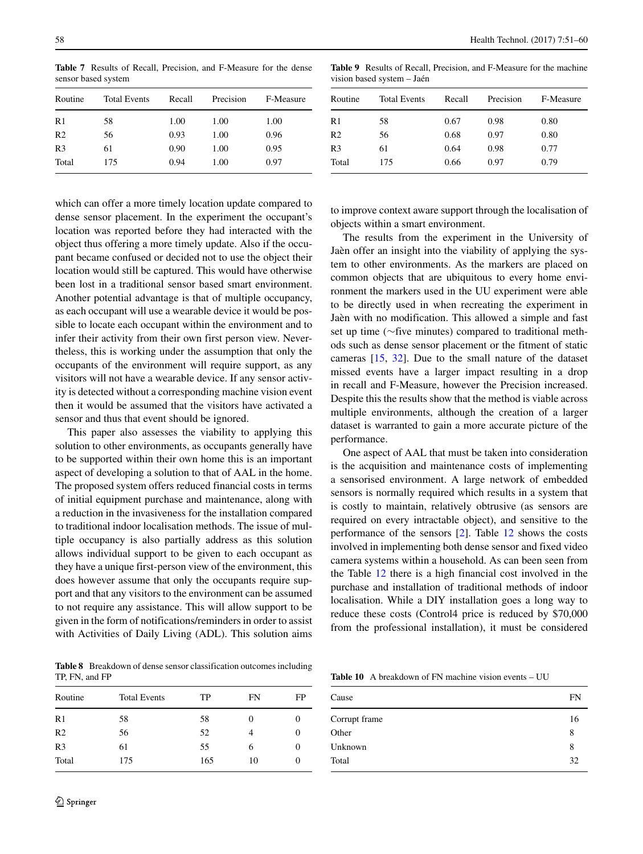<span id="page-7-0"></span>**Table 7** Results of Recall, Precision, and F-Measure for the dense sensor based system

| Routine        | <b>Total Events</b> | Recall | Precision | F-Measure |
|----------------|---------------------|--------|-----------|-----------|
| R1             | 58                  | 1.00   | 1.00      | 1.00      |
| R <sub>2</sub> | 56                  | 0.93   | 1.00      | 0.96      |
| R <sub>3</sub> | 61                  | 0.90   | 1.00      | 0.95      |
| Total          | 175                 | 0.94   | 1.00      | 0.97      |

which can offer a more timely location update compared to dense sensor placement. In the experiment the occupant's location was reported before they had interacted with the object thus offering a more timely update. Also if the occupant became confused or decided not to use the object their location would still be captured. This would have otherwise been lost in a traditional sensor based smart environment. Another potential advantage is that of multiple occupancy, as each occupant will use a wearable device it would be possible to locate each occupant within the environment and to infer their activity from their own first person view. Nevertheless, this is working under the assumption that only the occupants of the environment will require support, as any visitors will not have a wearable device. If any sensor activity is detected without a corresponding machine vision event then it would be assumed that the visitors have activated a sensor and thus that event should be ignored.

This paper also assesses the viability to applying this solution to other environments, as occupants generally have to be supported within their own home this is an important aspect of developing a solution to that of AAL in the home. The proposed system offers reduced financial costs in terms of initial equipment purchase and maintenance, along with a reduction in the invasiveness for the installation compared to traditional indoor localisation methods. The issue of multiple occupancy is also partially address as this solution allows individual support to be given to each occupant as they have a unique first-person view of the environment, this does however assume that only the occupants require support and that any visitors to the environment can be assumed to not require any assistance. This will allow support to be given in the form of notifications/reminders in order to assist with Activities of Daily Living (ADL). This solution aims

<span id="page-7-1"></span>**Table 8** Breakdown of dense sensor classification outcomes including TP, FN, and FP

| Routine        | <b>Total Events</b> | TP  | FN            | FP |
|----------------|---------------------|-----|---------------|----|
| R1             | 58                  | 58  | $\mathcal{L}$ | 0  |
| R <sub>2</sub> | 56                  | 52  | 4             | 0  |
| R <sub>3</sub> | 61                  | 55  | 6             | 0  |
| Total          | 175                 | 165 | 10            | 0  |

<span id="page-7-2"></span>**Table 9** Results of Recall, Precision, and F-Measure for the machine vision based system - Jaén

| Routine        | <b>Total Events</b> | Recall | Precision | F-Measure |
|----------------|---------------------|--------|-----------|-----------|
| R1             | 58                  | 0.67   | 0.98      | 0.80      |
| R <sub>2</sub> | 56                  | 0.68   | 0.97      | 0.80      |
| R <sub>3</sub> | 61                  | 0.64   | 0.98      | 0.77      |
| Total          | 175                 | 0.66   | 0.97      | 0.79      |

to improve context aware support through the localisation of objects within a smart environment.

The results from the experiment in the University of Jaèn offer an insight into the viability of applying the system to other environments. As the markers are placed on common objects that are ubiquitous to every home environment the markers used in the UU experiment were able to be directly used in when recreating the experiment in Jaèn with no modification. This allowed a simple and fast set up time (∼five minutes) compared to traditional methods such as dense sensor placement or the fitment of static cameras [\[15,](#page-9-9) [32\]](#page-9-28). Due to the small nature of the dataset missed events have a larger impact resulting in a drop in recall and F-Measure, however the Precision increased. Despite this the results show that the method is viable across multiple environments, although the creation of a larger dataset is warranted to gain a more accurate picture of the performance.

One aspect of AAL that must be taken into consideration is the acquisition and maintenance costs of implementing a sensorised environment. A large network of embedded sensors is normally required which results in a system that is costly to maintain, relatively obtrusive (as sensors are required on every intractable object), and sensitive to the performance of the sensors [\[2\]](#page-8-3). Table [12](#page-8-4) shows the costs involved in implementing both dense sensor and fixed video camera systems within a household. As can been seen from the Table [12](#page-8-4) there is a high financial cost involved in the purchase and installation of traditional methods of indoor localisation. While a DIY installation goes a long way to reduce these costs (Control4 price is reduced by \$70,000 from the professional installation), it must be considered

<span id="page-7-3"></span>**Table 10** A breakdown of FN machine vision events – UU

| Cause         | FN |
|---------------|----|
| Corrupt frame | 16 |
| Other         | 8  |
| Unknown       | 8  |
| Total         | 32 |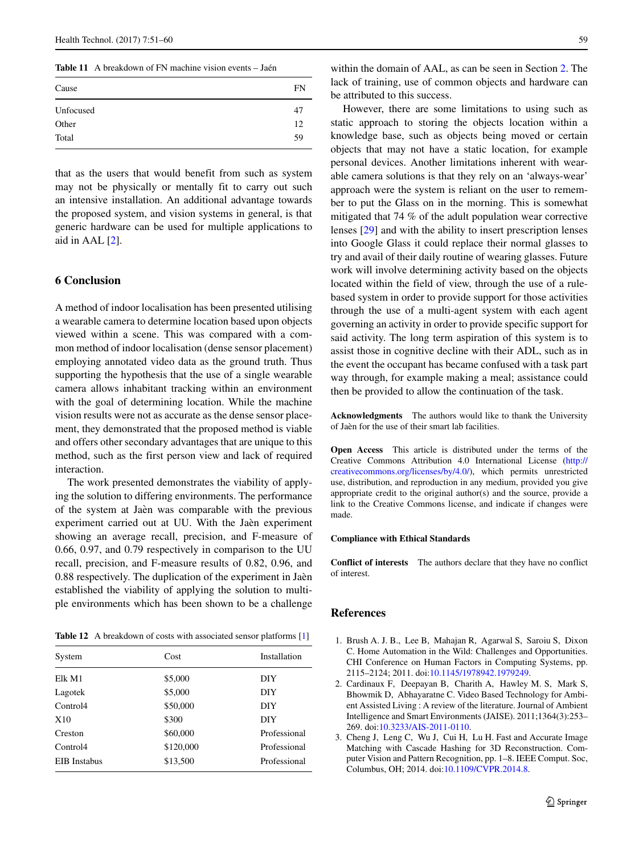<span id="page-8-2"></span>**Table 11** A breakdown of FN machine vision events – Jaén

| Cause     | FN |
|-----------|----|
| Unfocused | 47 |
| Other     | 12 |
| Total     | 59 |

that as the users that would benefit from such as system may not be physically or mentally fit to carry out such an intensive installation. An additional advantage towards the proposed system, and vision systems in general, is that generic hardware can be used for multiple applications to aid in AAL [\[2\]](#page-8-3).

## <span id="page-8-0"></span>**6 Conclusion**

A method of indoor localisation has been presented utilising a wearable camera to determine location based upon objects viewed within a scene. This was compared with a common method of indoor localisation (dense sensor placement) employing annotated video data as the ground truth. Thus supporting the hypothesis that the use of a single wearable camera allows inhabitant tracking within an environment with the goal of determining location. While the machine vision results were not as accurate as the dense sensor placement, they demonstrated that the proposed method is viable and offers other secondary advantages that are unique to this method, such as the first person view and lack of required interaction.

The work presented demonstrates the viability of applying the solution to differing environments. The performance of the system at Jaen was comparable with the previous ` experiment carried out at UU. With the Jaèn experiment showing an average recall, precision, and F-measure of 0.66, 0.97, and 0.79 respectively in comparison to the UU recall, precision, and F-measure results of 0.82, 0.96, and 0.88 respectively. The duplication of the experiment in Jaèn established the viability of applying the solution to multiple environments which has been shown to be a challenge

<span id="page-8-4"></span>**Table 12** A breakdown of costs with associated sensor platforms [\[1\]](#page-8-5)

| System               | Cost      | Installation |
|----------------------|-----------|--------------|
| Elk M1               | \$5,000   | DIY          |
| Lagotek              | \$5,000   | DIY          |
| Control <sub>4</sub> | \$50,000  | DIY          |
| X10                  | \$300     | DIY          |
| Creston              | \$60,000  | Professional |
| Control <sub>4</sub> | \$120,000 | Professional |
| <b>EIB</b> Instabus  | \$13,500  | Professional |

within the domain of AAL, as can be seen in Section [2.](#page-1-0) The lack of training, use of common objects and hardware can be attributed to this success.

However, there are some limitations to using such as static approach to storing the objects location within a knowledge base, such as objects being moved or certain objects that may not have a static location, for example personal devices. Another limitations inherent with wearable camera solutions is that they rely on an 'always-wear' approach were the system is reliant on the user to remember to put the Glass on in the morning. This is somewhat mitigated that 74 % of the adult population wear corrective lenses [\[29\]](#page-9-29) and with the ability to insert prescription lenses into Google Glass it could replace their normal glasses to try and avail of their daily routine of wearing glasses. Future work will involve determining activity based on the objects located within the field of view, through the use of a rulebased system in order to provide support for those activities through the use of a multi-agent system with each agent governing an activity in order to provide specific support for said activity. The long term aspiration of this system is to assist those in cognitive decline with their ADL, such as in the event the occupant has became confused with a task part way through, for example making a meal; assistance could then be provided to allow the continuation of the task.

**Acknowledgments** The authors would like to thank the University of Jaen for the use of their smart lab facilities. `

**Open Access** This article is distributed under the terms of the Creative Commons Attribution 4.0 International License [\(http://](http://creativecommons.org/licenses/by/4.0/) [creativecommons.org/licenses/by/4.0/\)](http://creativecommons.org/licenses/by/4.0/), which permits unrestricted use, distribution, and reproduction in any medium, provided you give appropriate credit to the original author(s) and the source, provide a link to the Creative Commons license, and indicate if changes were made.

#### **Compliance with Ethical Standards**

**Conflict of interests** The authors declare that they have no conflict of interest.

## **References**

- <span id="page-8-5"></span>1. Brush A. J. B., Lee B, Mahajan R, Agarwal S, Saroiu S, Dixon C. Home Automation in the Wild: Challenges and Opportunities. CHI Conference on Human Factors in Computing Systems, pp. 2115–2124; 2011. doi[:10.1145/1978942.1979249.](http://dx.doi.org/10.1145/1978942.1979249)
- <span id="page-8-3"></span>2. Cardinaux F, Deepayan B, Charith A, Hawley M. S, Mark S, Bhowmik D, Abhayaratne C. Video Based Technology for Ambient Assisted Living : A review of the literature. Journal of Ambient Intelligence and Smart Environments (JAISE). 2011;1364(3):253– 269. doi[:10.3233/AIS-2011-0110.](http://dx.doi.org/10.3233/AIS-2011-0110)
- <span id="page-8-1"></span>3. Cheng J, Leng C, Wu J, Cui H, Lu H. Fast and Accurate Image Matching with Cascade Hashing for 3D Reconstruction. Computer Vision and Pattern Recognition, pp. 1–8. IEEE Comput. Soc, Columbus, OH; 2014. doi[:10.1109/CVPR.2014.8.](http://dx.doi.org/10.1109/CVPR.2014.8)